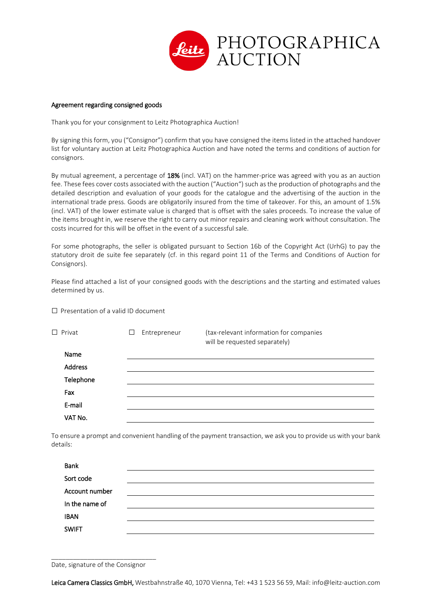

## Agreement regarding consigned goods

Thank you for your consignment to Leitz Photographica Auction!

By signing this form, you ("Consignor") confirm that you have consigned the items listed in the attached handover list for voluntary auction at Leitz Photographica Auction and have noted the terms and conditions of auction for consignors.

By mutual agreement, a percentage of 18% (incl. VAT) on the hammer-price was agreed with you as an auction fee. These fees cover costs associated with the auction ("Auction") such as the production of photographs and the detailed description and evaluation of your goods for the catalogue and the advertising of the auction in the international trade press. Goods are obligatorily insured from the time of takeover. For this, an amount of 1.5% (incl. VAT) of the lower estimate value is charged that is offset with the sales proceeds. To increase the value of the items brought in, we reserve the right to carry out minor repairs and cleaning work without consultation. The costs incurred for this will be offset in the event of a successful sale.

For some photographs, the seller is obligated pursuant to Section 16b of the Copyright Act (UrhG) to pay the statutory droit de suite fee separately (cf. in this regard point 11 of the Terms and Conditions of Auction for Consignors).

Please find attached a list of your consigned goods with the descriptions and the starting and estimated values determined by us.

 $\square$  Presentation of a valid ID document

| $\Box$ Privat  | ⊔ | Entrepreneur | (tax-relevant information for companies<br>will be requested separately) |
|----------------|---|--------------|--------------------------------------------------------------------------|
| Name           |   |              |                                                                          |
| <b>Address</b> |   |              |                                                                          |
| Telephone      |   |              |                                                                          |
| Fax            |   |              |                                                                          |
| E-mail         |   |              |                                                                          |
| VAT No.        |   |              |                                                                          |

To ensure a prompt and convenient handling of the payment transaction, we ask you to provide us with your bank details:

| <b>Bank</b>    |  |
|----------------|--|
| Sort code      |  |
| Account number |  |
| In the name of |  |
| <b>IBAN</b>    |  |
| <b>SWIFT</b>   |  |
|                |  |

\_\_\_\_\_\_\_\_\_\_\_\_\_\_\_\_\_\_\_\_\_\_\_\_\_\_\_\_\_ Date, signature of the Consignor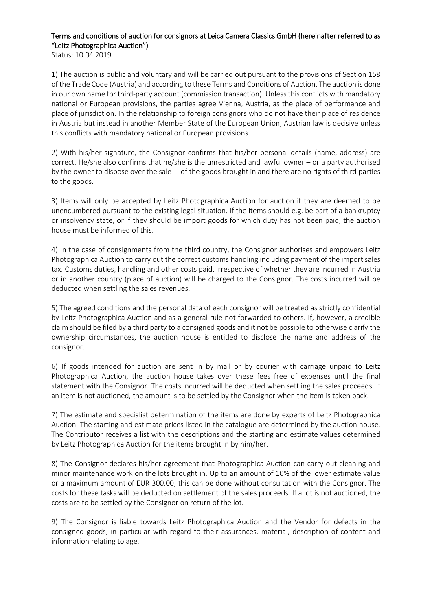## Terms and conditions of auction for consignors at Leica Camera Classics GmbH (hereinafter referred to as "Leitz Photographica Auction")

Status: 10.04.2019

1) The auction is public and voluntary and will be carried out pursuant to the provisions of Section 158 of the Trade Code (Austria) and according to these Terms and Conditions of Auction. The auction is done in our own name for third-party account (commission transaction). Unless this conflicts with mandatory national or European provisions, the parties agree Vienna, Austria, as the place of performance and place of jurisdiction. In the relationship to foreign consignors who do not have their place of residence in Austria but instead in another Member State of the European Union, Austrian law is decisive unless this conflicts with mandatory national or European provisions.

2) With his/her signature, the Consignor confirms that his/her personal details (name, address) are correct. He/she also confirms that he/she is the unrestricted and lawful owner – or a party authorised by the owner to dispose over the sale – of the goods brought in and there are no rights of third parties to the goods.

3) Items will only be accepted by Leitz Photographica Auction for auction if they are deemed to be unencumbered pursuant to the existing legal situation. If the items should e.g. be part of a bankruptcy or insolvency state, or if they should be import goods for which duty has not been paid, the auction house must be informed of this.

4) In the case of consignments from the third country, the Consignor authorises and empowers Leitz Photographica Auction to carry out the correct customs handling including payment of the import sales tax. Customs duties, handling and other costs paid, irrespective of whether they are incurred in Austria or in another country (place of auction) will be charged to the Consignor. The costs incurred will be deducted when settling the sales revenues.

5) The agreed conditions and the personal data of each consignor will be treated as strictly confidential by Leitz Photographica Auction and as a general rule not forwarded to others. If, however, a credible claim should be filed by a third party to a consigned goods and it not be possible to otherwise clarify the ownership circumstances, the auction house is entitled to disclose the name and address of the consignor.

6) If goods intended for auction are sent in by mail or by courier with carriage unpaid to Leitz Photographica Auction, the auction house takes over these fees free of expenses until the final statement with the Consignor. The costs incurred will be deducted when settling the sales proceeds. If an item is not auctioned, the amount is to be settled by the Consignor when the item is taken back.

7) The estimate and specialist determination of the items are done by experts of Leitz Photographica Auction. The starting and estimate prices listed in the catalogue are determined by the auction house. The Contributor receives a list with the descriptions and the starting and estimate values determined by Leitz Photographica Auction for the items brought in by him/her.

8) The Consignor declares his/her agreement that Photographica Auction can carry out cleaning and minor maintenance work on the lots brought in. Up to an amount of 10% of the lower estimate value or a maximum amount of EUR 300.00, this can be done without consultation with the Consignor. The costs for these tasks will be deducted on settlement of the sales proceeds. If a lot is not auctioned, the costs are to be settled by the Consignor on return of the lot.

9) The Consignor is liable towards Leitz Photographica Auction and the Vendor for defects in the consigned goods, in particular with regard to their assurances, material, description of content and information relating to age.